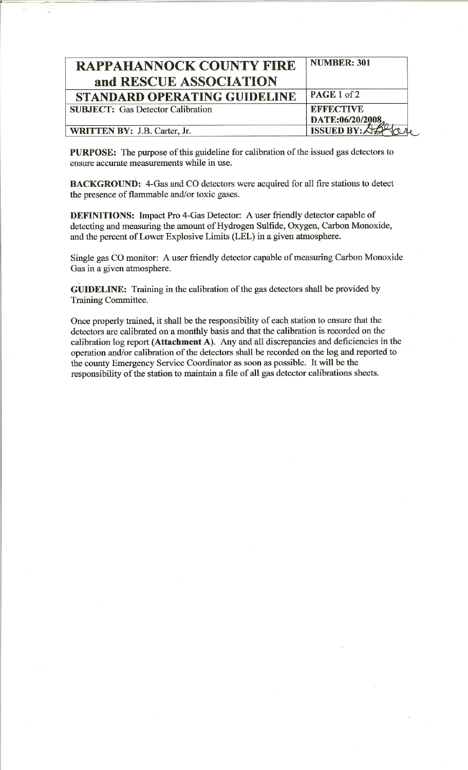| <b>NUMBER: 301</b> |
|--------------------|
|                    |
| PAGE 1 of 2        |
| <b>EFFECTIVE</b>   |
| DATE:06/20/2008    |
| <b>ISSUED BY:/</b> |
|                    |

PURPOSE: The purpose of this guideline for calibration of the issued gas detectors to ensure accurate measurements while in use.

BACKGROUND: 4-Gas and CO detectors were acquired for all fire stations to detect the presence of flammable and/or toxic gases.

DEFINITIONS: Impact Pro 4-Gas Detector: A user friendly detector capable of detecting and measuring the amount of Hydrogen Sulfide, Oxygen, Carbon Monoxide, and the percent of Lower Explosive Limits (LEL) in a given atmosphere.

Single gas CO monitor: A user friendly detector capable of measuring Carbon Monoxide Gas in a given atmosphere.

GUIDELINE: Training in the calibration of the gas detectors shall be provided by Training Committee.

Once properly trained, it shall be the responsibility of each station to ensure that the detectors are calibrated on a monthly basis and that the calibration is recorded on the calibration log report (Attachment A). Any and all discrepancies and deficiencies in the operation and/or calibration of the detectors shall be recorded on the log and reported to the county Emergency Service Coordinator as soon as possible. It will be the responsibility of the station to maintain a file of all gas detector calibrations sheets.